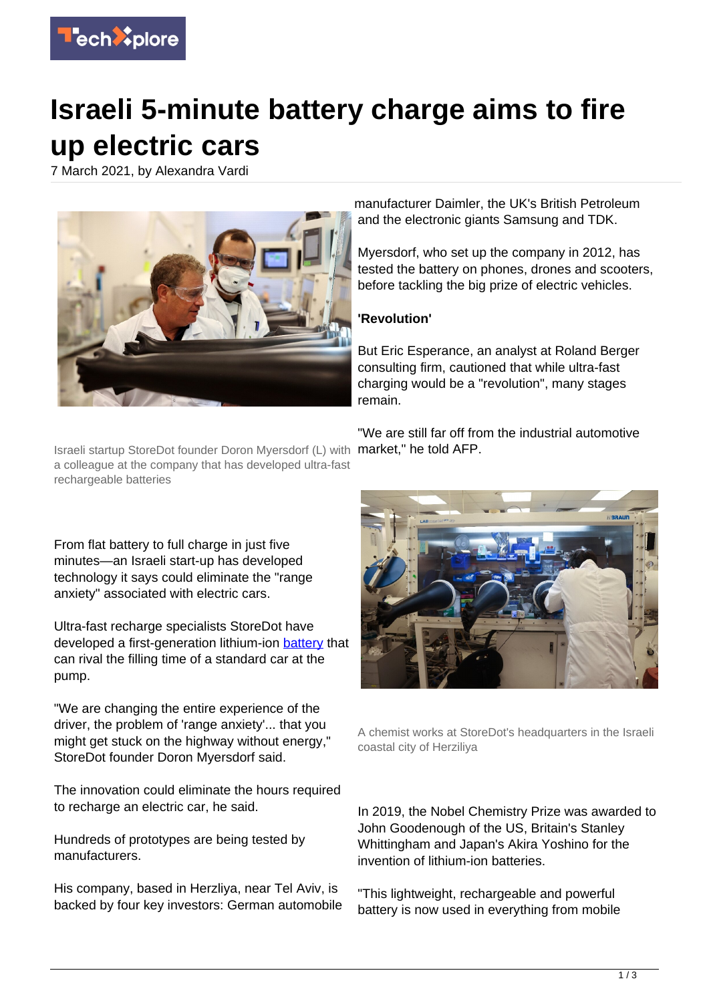

## **Israeli 5-minute battery charge aims to fire up electric cars**

7 March 2021, by Alexandra Vardi



Israeli startup StoreDot founder Doron Myersdorf (L) with market," he told AFP. a colleague at the company that has developed ultra-fast rechargeable batteries

From flat battery to full charge in just five minutes—an Israeli start-up has developed technology it says could eliminate the "range anxiety" associated with electric cars.

Ultra-fast recharge specialists StoreDot have developed a first-generation lithium-ion [battery](https://techxplore.com/tags/battery/) that can rival the filling time of a standard car at the pump.

"We are changing the entire experience of the driver, the problem of 'range anxiety'... that you might get stuck on the highway without energy," StoreDot founder Doron Myersdorf said.

The innovation could eliminate the hours required to recharge an electric car, he said.

Hundreds of prototypes are being tested by manufacturers.

His company, based in Herzliya, near Tel Aviv, is backed by four key investors: German automobile manufacturer Daimler, the UK's British Petroleum and the electronic giants Samsung and TDK.

Myersdorf, who set up the company in 2012, has tested the battery on phones, drones and scooters, before tackling the big prize of electric vehicles.

## **'Revolution'**

But Eric Esperance, an analyst at Roland Berger consulting firm, cautioned that while ultra-fast charging would be a "revolution", many stages remain.

"We are still far off from the industrial automotive



A chemist works at StoreDot's headquarters in the Israeli coastal city of Herziliya

In 2019, the Nobel Chemistry Prize was awarded to John Goodenough of the US, Britain's Stanley Whittingham and Japan's Akira Yoshino for the invention of lithium-ion batteries.

"This lightweight, rechargeable and powerful battery is now used in everything from mobile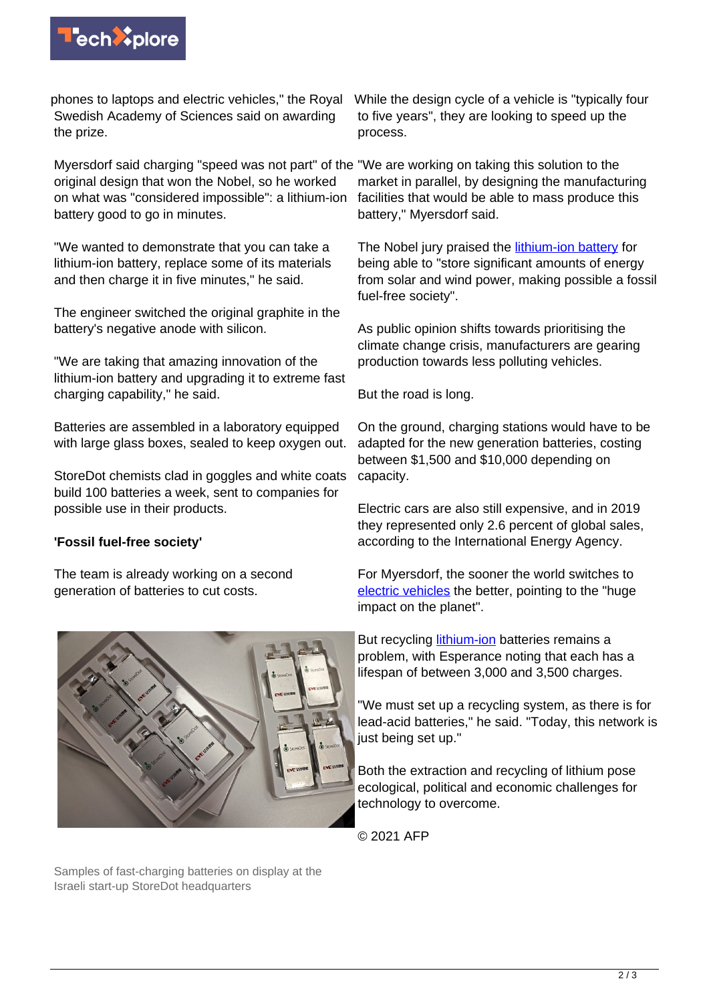

phones to laptops and electric vehicles," the Royal Swedish Academy of Sciences said on awarding the prize.

Myersdorf said charging "speed was not part" of the "We are working on taking this solution to the original design that won the Nobel, so he worked on what was "considered impossible": a lithium-ion battery good to go in minutes.

"We wanted to demonstrate that you can take a lithium-ion battery, replace some of its materials and then charge it in five minutes," he said.

The engineer switched the original graphite in the battery's negative anode with silicon.

"We are taking that amazing innovation of the lithium-ion battery and upgrading it to extreme fast charging capability," he said.

Batteries are assembled in a laboratory equipped with large glass boxes, sealed to keep oxygen out.

StoreDot chemists clad in goggles and white coats build 100 batteries a week, sent to companies for possible use in their products.

## **'Fossil fuel-free society'**

The team is already working on a second generation of batteries to cut costs.



Samples of fast-charging batteries on display at the Israeli start-up StoreDot headquarters

While the design cycle of a vehicle is "typically four to five years", they are looking to speed up the process.

market in parallel, by designing the manufacturing facilities that would be able to mass produce this battery," Myersdorf said.

The Nobel jury praised the [lithium-ion battery](https://techxplore.com/tags/lithium-ion+battery/) for being able to "store significant amounts of energy from solar and wind power, making possible a fossil fuel-free society".

As public opinion shifts towards prioritising the climate change crisis, manufacturers are gearing production towards less polluting vehicles.

But the road is long.

On the ground, charging stations would have to be adapted for the new generation batteries, costing between \$1,500 and \$10,000 depending on capacity.

Electric cars are also still expensive, and in 2019 they represented only 2.6 percent of global sales, according to the International Energy Agency.

For Myersdorf, the sooner the world switches to [electric vehicles](https://techxplore.com/tags/electric+vehicles/) the better, pointing to the "huge impact on the planet".

But recycling [lithium-ion](https://techxplore.com/tags/lithium-ion/) batteries remains a problem, with Esperance noting that each has a lifespan of between 3,000 and 3,500 charges.

"We must set up a recycling system, as there is for lead-acid batteries," he said. "Today, this network is just being set up."

Both the extraction and recycling of lithium pose ecological, political and economic challenges for technology to overcome.

© 2021 AFP